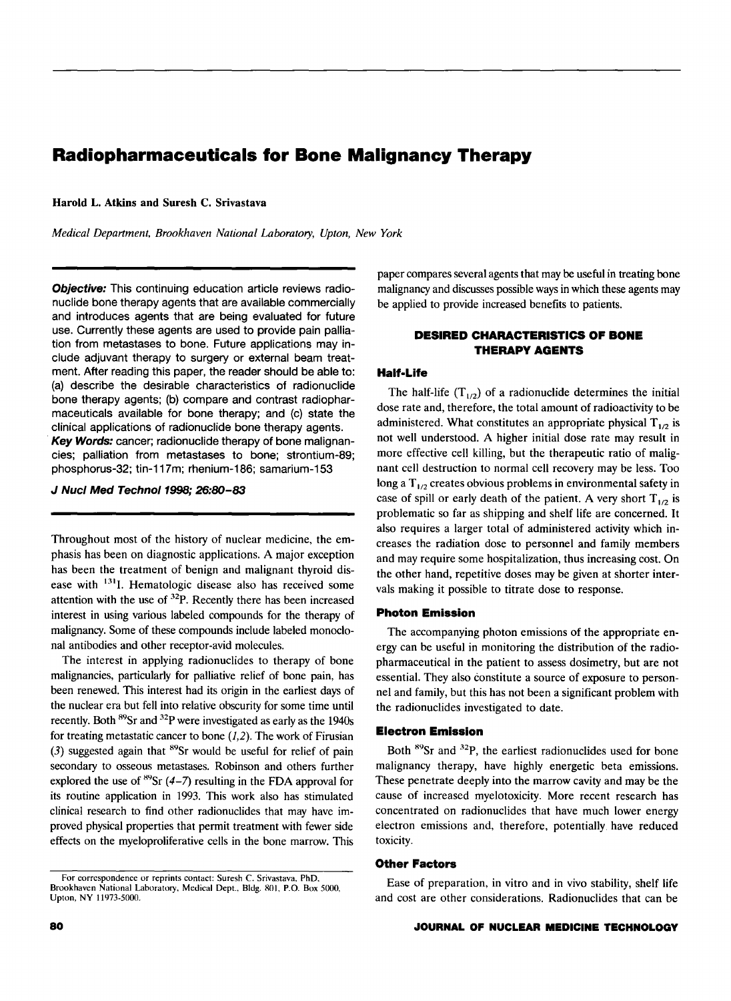# **Radiopharmaceuticals for Bone Malignancy Therapy**

Harold L. Atkins and Suresh C. Srivastava

*Medical Department, Brookhaven National Laboratory, Upton, New York* 

Objective: This continuing education article reviews radionuclide bone therapy agents that are available commercially and introduces agents that are being evaluated for future use. Currently these agents are used to provide pain palliation from metastases to bone. Future applications may include adjuvant therapy to surgery or external beam treatment. After reading this paper, the reader should be able to: (a) describe the desirable characteristics of radionuclide bone therapy agents; (b) compare and contrast radiopharmaceuticals available for bone therapy; and (c) state the clinical applications of radionuclide bone therapy agents. Key Words: cancer; radionuclide therapy of bone malignancies; palliation from metastases to bone; strontium-89; phosphorus-32; tin-117m; rhenium-186; samarium-153

*J* Nucl Med Techno/1998; 26:80-83

Throughout most of the history of nuclear medicine, the emphasis has been on diagnostic applications. A major exception has been the treatment of benign and malignant thyroid disease with <sup>131</sup>I. Hematologic disease also has received some attention with the use of <sup>32</sup>P. Recently there has been increased interest in using various labeled compounds for the therapy of malignancy. Some of these compounds include labeled monoclonal antibodies and other receptor-avid molecules.

The interest in applying radionuclides to therapy of bone malignancies, particularly for palliative relief of bone pain, has been renewed. This interest had its origin in the earliest days of the nuclear era but fell into relative obscurity for some time until recently. Both <sup>89</sup>Sr and <sup>32</sup>P were investigated as early as the 1940s for treating metastatic cancer to bone  $(1,2)$ . The work of Firusian (3) suggested again that  ${}^{89}Sr$  would be useful for relief of pain secondary to osseous metastases. Robinson and others further explored the use of  ${}^{89}Sr (4–7)$  resulting in the FDA approval for its routine application in 1993. This work also has stimulated clinical research to find other radionuclides that may have improved physical properties that permit treatment with fewer side effects on the myeloproliferative cells in the bone marrow. This paper compares several agents that may be useful in treating bone malignancy and discusses possible ways in which these agents may be applied to provide increased benefits to patients.

# **DESIRED CHARACTERISTICS OF BONE THERAPY AGENTS**

## **Half-Life**

The half-life  $(T_{1/2})$  of a radionuclide determines the initial dose rate and, therefore, the total amount of radioactivity to be administered. What constitutes an appropriate physical  $T_{1/2}$  is not well understood. A higher initial dose rate may result in more effective cell killing, but the therapeutic ratio of malignant cell destruction to normal cell recovery may be less. Too long a  $T_{1/2}$  creates obvious problems in environmental safety in case of spill or early death of the patient. A very short  $T_{1/2}$  is problematic so far as shipping and shelf life are concerned. It also requires a larger total of administered activity which increases the radiation dose to personnel and family members and may require some hospitalization, thus increasing cost. On the other hand, repetitive doses may be given at shorter intervals making it possible to titrate dose to response.

#### **Photon Emission**

The accompanying photon emissions of the appropriate energy can be useful in monitoring the distribution of the radiopharmaceutical in the patient to assess dosimetry, but are not essential. They also constitute a source of exposure to personnel and family, but this has not been a significant problem with the radionuclides investigated to date.

# **Electron Emission**

Both <sup>89</sup>Sr and <sup>32</sup>P, the earliest radionuclides used for bone malignancy therapy, have highly energetic beta emissions. These penetrate deeply into the marrow cavity and may be the cause of increased myelotoxicity. More recent research has concentrated on radionuclides that have much lower energy electron emissions and, therefore, potentially. have reduced toxicity.

## **Other Factors**

Ease of preparation, in vitro and in vivo stability, shelf life and cost are other considerations. Radionuclides that can be

For correspondence or reprints contact: Suresh C. Srivastava. PhD. Brookhaven National Laboratory, Medical Dept.. Bldg. 801, P.O. Box 5000, Upton, NY 11973-5000.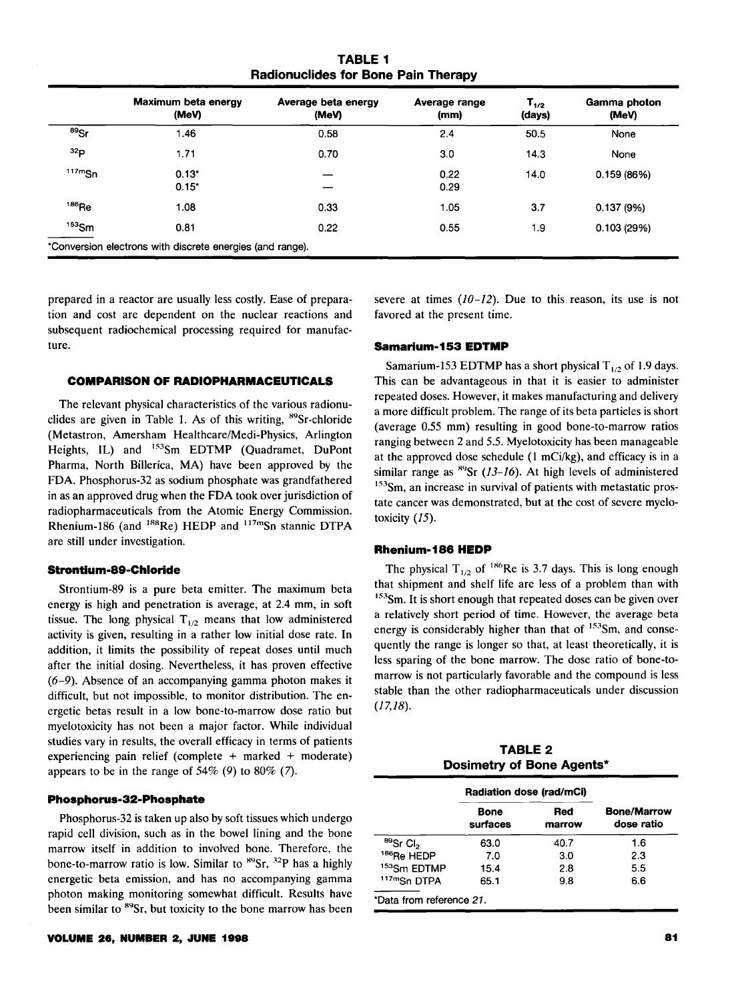**TABLE 1 Radionuclides for Bone Pain Therapy** 

|            | Maximum beta energy<br>(MeV)                              | Average beta energy<br>(MeV) | Average range<br>(mm) | $T_{1/2}$<br>(days) | Gamma photon<br>(MeV) |
|------------|-----------------------------------------------------------|------------------------------|-----------------------|---------------------|-----------------------|
| $^{89}$ Sr | 1.46                                                      | 0.58                         | 2.4                   | 50.5                | None                  |
| 32p        | 1.71                                                      | 0.70                         | 3.0                   | 14.3                | None                  |
| 117mgn     | $0.13*$<br>0.15"                                          |                              | 0.22<br>0.29          | 14.0                | 0.159(86%)            |
| $186$ Re   | 1.08                                                      | 0.33                         | 1.05                  | 3.7                 | 0.137(9%)             |
| $153$ Sm   | 0.81                                                      | 0.22                         | 0.55                  | 1.9                 | 0.103(29%)            |
|            | *Conversion electrons with discrete energies (and range). |                              |                       |                     |                       |

prepared in a reactor are usually less costly. Ease of preparation and cost are dependent on the nuclear reactions and subsequent radiochemical processing required for manufacture.

#### **COMPARISON OF RADIOPHARMACEUTICAL&**

The relevant physical characteristics of the various radionuclides are given in Table 1. As of this writing, <sup>89</sup>Sr-chloride (Metastron, Amersham Healthcare/Medi-Physics, Arlington Heights, IL) and <sup>153</sup>Sm EDTMP (Quadramet, DuPont Pharma, North Billerica, MA) have been approved by the FDA. Phosphorus-32 as sodium phosphate was grandfathered in as an approved drug when the FDA took over jurisdiction of radiopharmaceuticals from the Atomic Energy Commission. Rhenium-186 (and <sup>188</sup>Re) HEDP and <sup>117m</sup>Sn stannic DTPA are still under investigation.

## **Strontlum-89-Chloride**

Strontium-89 is a pure beta emitter. The maximum beta energy is high and penetration is average, at 2.4 mm, in soft tissue. The long physical  $T_{1/2}$  means that low administered activity is given, resulting in a rather low initial dose rate. In addition, it limits the possibility of repeat doses until much after the initial dosing. Nevertheless, it has proven effective (6-9). Absence of an accompanying gamma photon makes it difficult, but not impossible, to monitor distribution. The energetic betas result in a low bone-to-marrow dose ratio but myelotoxicity has not been a major factor. While individual studies vary in results, the overall efficacy in terms of patients experiencing pain relief (complete  $+$  marked  $+$  moderate) appears to be in the range of  $54\%$  (9) to  $80\%$  (7).

#### **Phosphorus-32-Phosphate**

Phosphorus-32 is taken up also by soft tissues which undergo rapid cell division, such as in the bowel lining and the bone marrow itself in addition to involved bone. Therefore, the bone-to-marrow ratio is low. Similar to  ${}^{89}Sr$ ,  ${}^{32}P$  has a highly energetic beta emission, and has no accompanying gamma photon making monitoring somewhat difficult. Results have been similar to <sup>89</sup>Sr, but toxicity to the bone marrow has been severe at times  $(10-12)$ . Due to this reason, its use is not favored at the present time.

#### **Samarium-153 EDTMP**

Samarium-153 EDTMP has a short physical  $T_{1/2}$  of 1.9 days. This can be advantageous in that it is easier to administer repeated doses. However, it makes manufacturing and delivery a more difficult problem. The range of its beta particles is short (average 0.55 mm) resulting in good bone-to-marrow ratios ranging between 2 and 5.5. Myelotoxicity has been manageable at the approved dose schedule  $(1 \text{ mCi/kg})$ , and efficacy is in a similar range as  ${}^{89}Sr$  (13-16). At high levels of administered <sup>153</sup>Sm, an increase in survival of patients with metastatic prostate cancer was demonstrated, but at the cost of severe myelotoxicity (15).

## **Rhenium-186 HEDP**

The physical  $T_{1/2}$  of <sup>186</sup>Re is 3.7 days. This is long enough that shipment and shelf life are less of a problem than with <sup>153</sup>Sm. It is short enough that repeated doses can be given over a relatively short period of time. However, the average beta energy is considerably higher than that of <sup>153</sup>Sm, and consequently the range is longer so that, at least theoretically, it is less sparing of the bone marrow. The dose ratio of bone-tomarrow is not particularly favorable and the compound is less stable than the other radiopharmaceuticals under discussion  $(17,18)$ .

**TABLE 2 Dosimetry of Bone Agents\*** 

|                            | Radiation dose (rad/mCi) |               |                                  |  |
|----------------------------|--------------------------|---------------|----------------------------------|--|
|                            | <b>Bone</b><br>surfaces  | Red<br>marrow | <b>Bone/Marrow</b><br>dose ratio |  |
| $^{89}$ Sr Cl <sub>2</sub> | 63.0                     | 40.7          | 1.6                              |  |
| <sup>186</sup> Re HEDP     | 7.0                      | 3.0           | 2.3                              |  |
| <sup>153</sup> Sm EDTMP    | 15.4                     | 2.8           | 5.5                              |  |
| 117mSn DTPA                | 65.1                     | 9.8           | 6.6                              |  |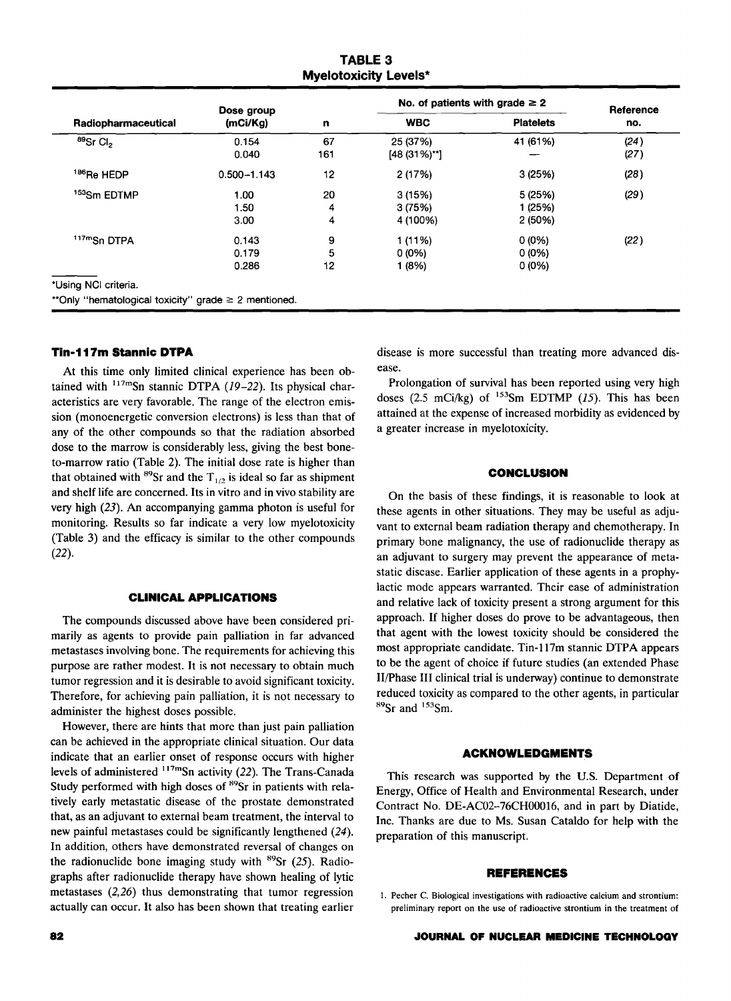**TABLE 3 Myelotoxicity Levels\*** 

|                                                      | Dose group      |           | No. of patients with grade $\geq 2$ |                  | Reference    |
|------------------------------------------------------|-----------------|-----------|-------------------------------------|------------------|--------------|
| Radiopharmaceutical                                  | (mCi/Kg)        | n         | <b>WBC</b>                          | <b>Platelets</b> | no.          |
| $^{89}$ Sr Cl <sub>2</sub>                           | 0.154<br>0.040  | 67<br>161 | 25 (37%)<br>$[48 (31\%)$ **]        | 41 (61%)         | (24)<br>(27) |
| <sup>186</sup> Re HEDP                               | $0.500 - 1.143$ | 12        | 2 (17%)                             | 3(25%)           | (28)         |
| <sup>153</sup> Sm EDTMP                              | 1.00            | 20        | 3(15%)                              | 5 (25%)          | (29)         |
|                                                      | 1.50            | 4         | 3(75%)                              | 1 (25%)          |              |
|                                                      | 3.00            | 4         | 4 (100%)                            | 2(50%)           |              |
| 117mSn DTPA                                          | 0.143           | 9         | 1 (11%)                             | 0(0%             | (22)         |
|                                                      | 0.179           | 5         | $0(0\%)$                            | $0(0\%)$         |              |
|                                                      | 0.286           | 12        | 1 (8%)                              | $0(0\%)$         |              |
| *Using NCI criteria.                                 |                 |           |                                     |                  |              |
| **Only "hematological toxicity" grade ≥ 2 mentioned. |                 |           |                                     |                  |              |

# **Tin-117m Stannic DTPA**

At this time only limited clinical experience has been obtained with  $117 \text{m}$ Sn stannic DTPA (19-22). Its physical characteristics are very favorable. The range of the electron emission (monoenergetic conversion electrons) is less than that of any of the other compounds so that the radiation absorbed dose to the marrow is considerably less, giving the best boneto-marrow ratio (Table 2). The initial dose rate is higher than that obtained with  $^{89}$ Sr and the T<sub>1/2</sub> is ideal so far as shipment and shelf life are concerned. Its in vitro and in vivo stability are very high (23). An accompanying gamma photon is useful for monitoring. Results so far indicate a very low myelotoxicity (Table 3) and the efficacy is similar to the other compounds (22).

## **CLINICAL APPLICATIONS**

The compounds discussed above have been considered primarily as agents to provide pain palliation in far advanced metastases involving bone. The requirements for achieving this purpose are rather modest. It is not necessary to obtain much tumor regression and it is desirable to avoid significant toxicity. Therefore, for achieving pain palliation, it is not necessary to administer the highest doses possible.

However, there are hints that more than just pain palliation can be achieved in the appropriate clinical situation. Our data indicate that an earlier onset of response occurs with higher levels of administered  $117 \text{m}$ Sn activity (22). The Trans-Canada Study performed with high doses of <sup>89</sup>Sr in patients with relatively early metastatic disease of the prostate demonstrated that, as an adjuvant to external beam treatment, the interval to new painful metastases could be significantly lengthened (24). In addition, others have demonstrated reversal of changes on the radionuclide bone imaging study with  ${}^{89}Sr$  (25). Radiographs after radionuclide therapy have shown healing of lytic metastases  $(2,26)$  thus demonstrating that tumor regression actually can occur. It also has been shown that treating earlier disease is more successful than treating more advanced disease.

Prolongation of survival has been reported using very high doses (2.5 mCi/kg) of  $153$ Sm EDTMP (15). This has been attained at the expense of increased morbidity as evidenced by a greater increase in myelotoxicity.

#### **CONCLUSION**

On the basis of these findings, it is reasonable to look at these agents in other situations. They may be useful as adjuvant to external beam radiation therapy and chemotherapy. In primary bone malignancy, the use of radionuclide therapy as an adjuvant to surgery may prevent the appearance of metastatic disease. Earlier application of these agents in a prophylactic mode appears warranted. Their ease of administration and relative lack of toxicity present a strong argument for this approach. If higher doses do prove to be advantageous, then that agent with the lowest toxicity should be considered the most appropriate candidate. Tin-117m stannic DTPA appears to be the agent of choice if future studies (an extended Phase Il/Phase III clinical trial is underway) continue to demonstrate reduced toxicity as compared to the other agents, in particular  ${}^{89}Sr$  and  ${}^{153}Sm$ .

#### **ACKNOWLEDGMENTS**

This research was supported by the U.S. Department of Energy, Office of Health and Environmental Research, under Contract No. DE-AC02-76CH00016, and in part by Diatide, Inc. Thanks are due to Ms. Susan Cataldo for help with the preparation of this manuscript.

#### **REFERENCES**

I. Pecher C. Biological investigations with radioactive calcium and strontium: preliminary report on the use of radioactive strontium in the treatment of